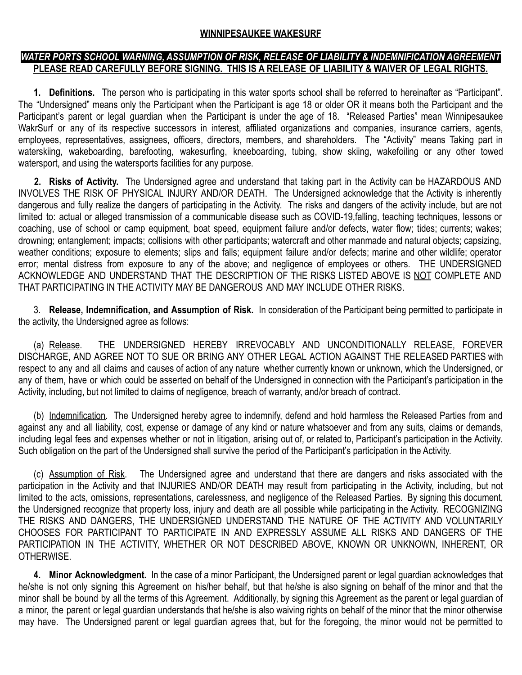## **WINNIPESAUKEE WAKESURF**

## *WATER PORTS SCHOOL WARNING, ASSUMPTION OF RISK, RELEASE OF LIABILITY & INDEMNIFICATION AGREEMENT* **PLEASE READ CAREFULLY BEFORE SIGNING. THIS IS A RELEASE OF LIABILITY & WAIVER OF LEGAL RIGHTS.**

**1. Definitions.** The person who is participating in this water sports school shall be referred to hereinafter as "Participant". The "Undersigned" means only the Participant when the Participant is age 18 or older OR it means both the Participant and the Participant's parent or legal guardian when the Participant is under the age of 18. "Released Parties" mean Winnipesaukee WakrSurf or any of its respective successors in interest, affiliated organizations and companies, insurance carriers, agents, employees, representatives, assignees, officers, directors, members, and shareholders. The "Activity" means Taking part in waterskiing, wakeboarding, barefooting, wakesurfing, kneeboarding, tubing, show skiing, wakefoiling or any other towed watersport, and using the watersports facilities for any purpose.

**2. Risks of Activity.** The Undersigned agree and understand that taking part in the Activity can be HAZARDOUS AND INVOLVES THE RISK OF PHYSICAL INJURY AND/OR DEATH. The Undersigned acknowledge that the Activity is inherently dangerous and fully realize the dangers of participating in the Activity. The risks and dangers of the activity include, but are not limited to: actual or alleged transmission of a communicable disease such as COVID-19,falling, teaching techniques, lessons or coaching, use of school or camp equipment, boat speed, equipment failure and/or defects, water flow; tides; currents; wakes; drowning; entanglement; impacts; collisions with other participants; watercraft and other manmade and natural objects; capsizing, weather conditions; exposure to elements; slips and falls; equipment failure and/or defects; marine and other wildlife; operator error; mental distress from exposure to any of the above; and negligence of employees or others. THE UNDERSIGNED ACKNOWLEDGE AND UNDERSTAND THAT THE DESCRIPTION OF THE RISKS LISTED ABOVE IS NOT COMPLETE AND THAT PARTICIPATING IN THE ACTIVITY MAY BE DANGEROUS AND MAY INCLUDE OTHER RISKS.

3. **Release, Indemnification, and Assumption of Risk.** In consideration of the Participant being permitted to participate in the activity, the Undersigned agree as follows:

(a) Release. THE UNDERSIGNED HEREBY IRREVOCABLY AND UNCONDITIONALLY RELEASE, FOREVER DISCHARGE, AND AGREE NOT TO SUE OR BRING ANY OTHER LEGAL ACTION AGAINST THE RELEASED PARTIES with respect to any and all claims and causes of action of any nature whether currently known or unknown, which the Undersigned, or any of them, have or which could be asserted on behalf of the Undersigned in connection with the Participant's participation in the Activity, including, but not limited to claims of negligence, breach of warranty, and/or breach of contract.

(b) Indemnification. The Undersigned hereby agree to indemnify, defend and hold harmless the Released Parties from and against any and all liability, cost, expense or damage of any kind or nature whatsoever and from any suits, claims or demands, including legal fees and expenses whether or not in litigation, arising out of, or related to, Participant's participation in the Activity. Such obligation on the part of the Undersigned shall survive the period of the Participant's participation in the Activity.

(c) Assumption of Risk. The Undersigned agree and understand that there are dangers and risks associated with the participation in the Activity and that INJURIES AND/OR DEATH may result from participating in the Activity, including, but not limited to the acts, omissions, representations, carelessness, and negligence of the Released Parties. By signing this document, the Undersigned recognize that property loss, injury and death are all possible while participating in the Activity. RECOGNIZING THE RISKS AND DANGERS, THE UNDERSIGNED UNDERSTAND THE NATURE OF THE ACTIVITY AND VOLUNTARILY CHOOSES FOR PARTICIPANT TO PARTICIPATE IN AND EXPRESSLY ASSUME ALL RISKS AND DANGERS OF THE PARTICIPATION IN THE ACTIVITY, WHETHER OR NOT DESCRIBED ABOVE, KNOWN OR UNKNOWN, INHERENT, OR OTHERWISE.

**4. Minor Acknowledgment.** In the case of a minor Participant, the Undersigned parent or legal guardian acknowledges that he/she is not only signing this Agreement on his/her behalf, but that he/she is also signing on behalf of the minor and that the minor shall be bound by all the terms of this Agreement. Additionally, by signing this Agreement as the parent or legal guardian of a minor, the parent or legal guardian understands that he/she is also waiving rights on behalf of the minor that the minor otherwise may have. The Undersigned parent or legal guardian agrees that, but for the foregoing, the minor would not be permitted to